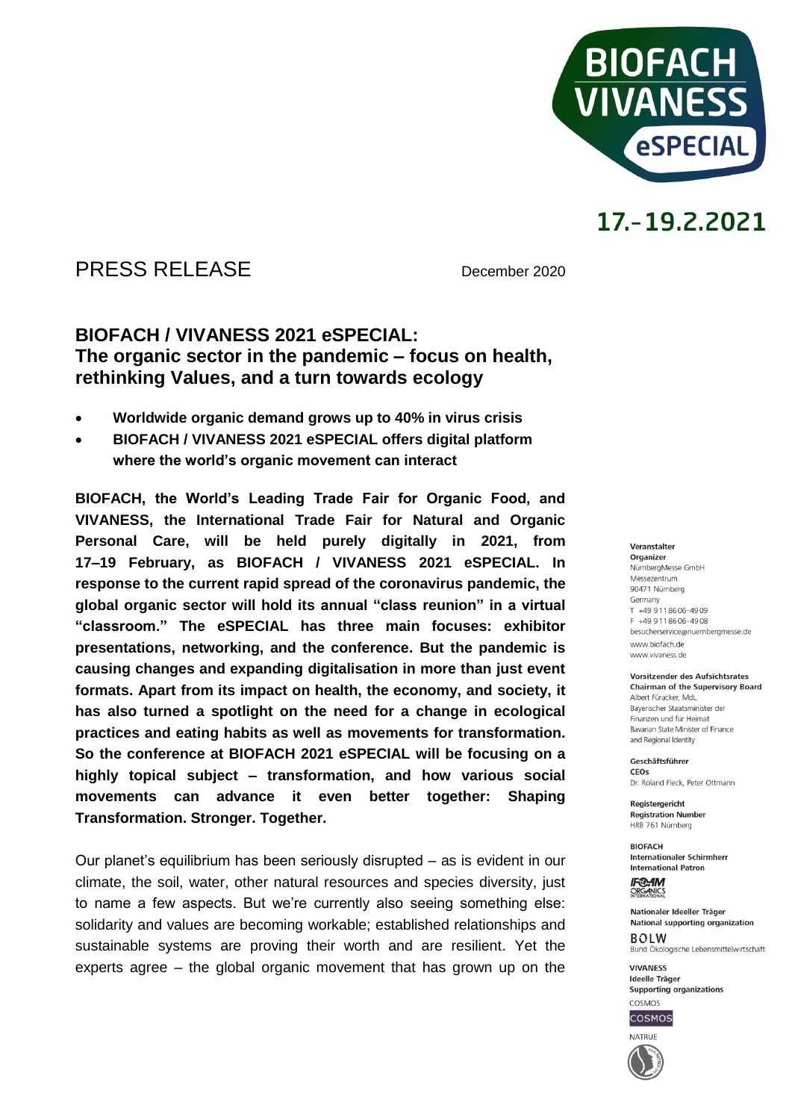

### PRESS RELEASE December 2020

### **BIOFACH / VIVANESS 2021 eSPECIAL: The organic sector in the pandemic – focus on health, rethinking Values, and a turn towards ecology**

- **Worldwide organic demand grows up to 40% in virus crisis**
- **BIOFACH / VIVANESS 2021 eSPECIAL offers digital platform where the world's organic movement can interact**

**BIOFACH, the World's Leading Trade Fair for Organic Food, and VIVANESS, the International Trade Fair for Natural and Organic Personal Care, will be held purely digitally in 2021, from 17–19 February, as BIOFACH / VIVANESS 2021 eSPECIAL. In response to the current rapid spread of the coronavirus pandemic, the global organic sector will hold its annual "class reunion" in a virtual "classroom." The eSPECIAL has three main focuses: exhibitor presentations, networking, and the conference. But the pandemic is causing changes and expanding digitalisation in more than just event formats. Apart from its impact on health, the economy, and society, it has also turned a spotlight on the need for a change in ecological practices and eating habits as well as movements for transformation. So the conference at BIOFACH 2021 eSPECIAL will be focusing on a highly topical subject – transformation, and how various social movements can advance it even better together: Shaping Transformation. Stronger. Together.** 

Our planet's equilibrium has been seriously disrupted – as is evident in our climate, the soil, water, other natural resources and species diversity, just to name a few aspects. But we're currently also seeing something else: solidarity and values are becoming workable; established relationships and sustainable systems are proving their worth and are resilient. Yet the experts agree – the global organic movement that has grown up on the

#### Veranstalter Organizer NürnbergMesse GmbH Messezentrum 90471 Nürnberg Germany  $T + 499118606 - 4909$ F +49 9 11 86 06 - 49 08 besucherservice@nuernbergmesse.de www.biofach.de www.vivaness.de

#### Vorsitzender des Aufsichtsrates **Chairman of the Supervisory Board** Albert Füracker, MdL Bayerischer Staatsminister der

Finanzen und für Heimat Bavarian State Minister of Finance and Regional Identity

Geschäftsführer CEOS Dr. Roland Eleck, Peter Ottmann

**Registergericht Registration Number** HRB 761 Nürnberg

**BIOFACH** Internationaler Schirmherr **International Patron** 

**IF®AM** ORGANICS

Nationaler Ideeller Träger National supporting organization  $ROIM$ Bund Ökologische Lebensmittelwirtschaft

**VIVANESS** Ideelle Träger Supporting organizations



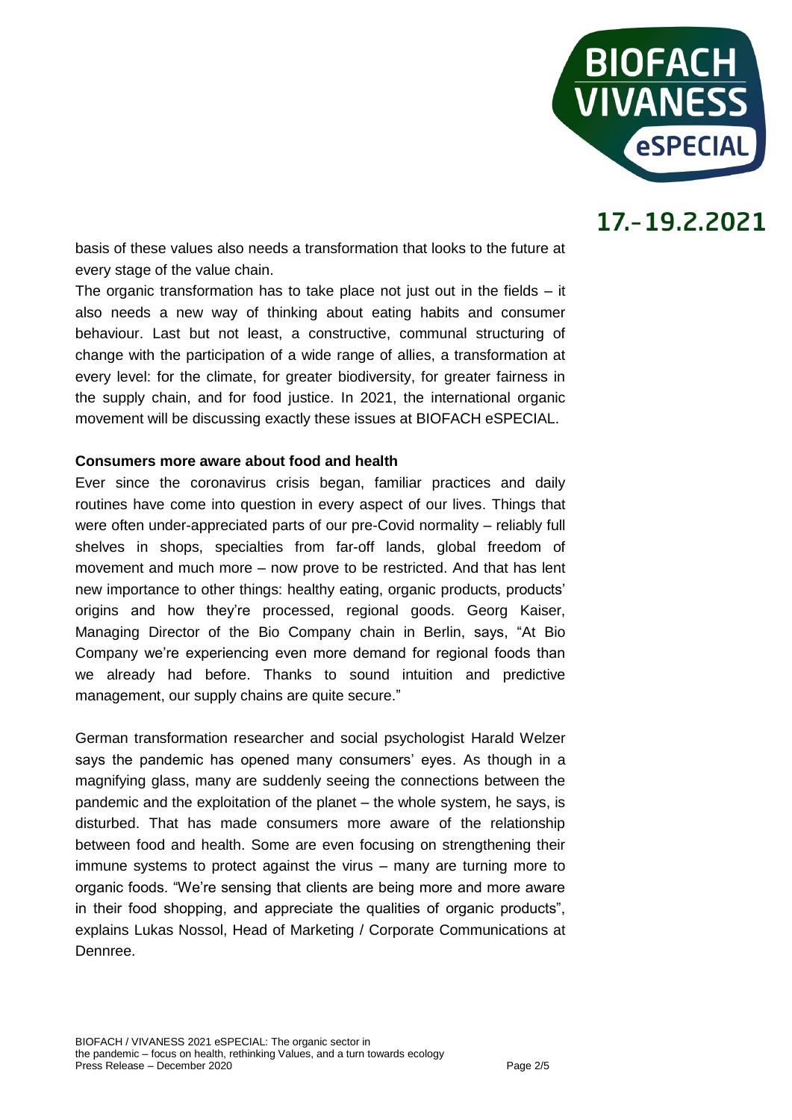

basis of these values also needs a transformation that looks to the future at every stage of the value chain.

The organic transformation has to take place not just out in the fields  $-$  it also needs a new way of thinking about eating habits and consumer behaviour. Last but not least, a constructive, communal structuring of change with the participation of a wide range of allies, a transformation at every level: for the climate, for greater biodiversity, for greater fairness in the supply chain, and for food justice. In 2021, the international organic movement will be discussing exactly these issues at BIOFACH eSPECIAL.

### **Consumers more aware about food and health**

Ever since the coronavirus crisis began, familiar practices and daily routines have come into question in every aspect of our lives. Things that were often under-appreciated parts of our pre-Covid normality – reliably full shelves in shops, specialties from far-off lands, global freedom of movement and much more – now prove to be restricted. And that has lent new importance to other things: healthy eating, organic products, products' origins and how they're processed, regional goods. Georg Kaiser, Managing Director of the Bio Company chain in Berlin, says, "At Bio Company we're experiencing even more demand for regional foods than we already had before. Thanks to sound intuition and predictive management, our supply chains are quite secure."

German transformation researcher and social psychologist Harald Welzer says the pandemic has opened many consumers' eyes. As though in a magnifying glass, many are suddenly seeing the connections between the pandemic and the exploitation of the planet – the whole system, he says, is disturbed. That has made consumers more aware of the relationship between food and health. Some are even focusing on strengthening their immune systems to protect against the virus – many are turning more to organic foods. "We're sensing that clients are being more and more aware in their food shopping, and appreciate the qualities of organic products", explains Lukas Nossol, Head of Marketing / Corporate Communications at Dennree.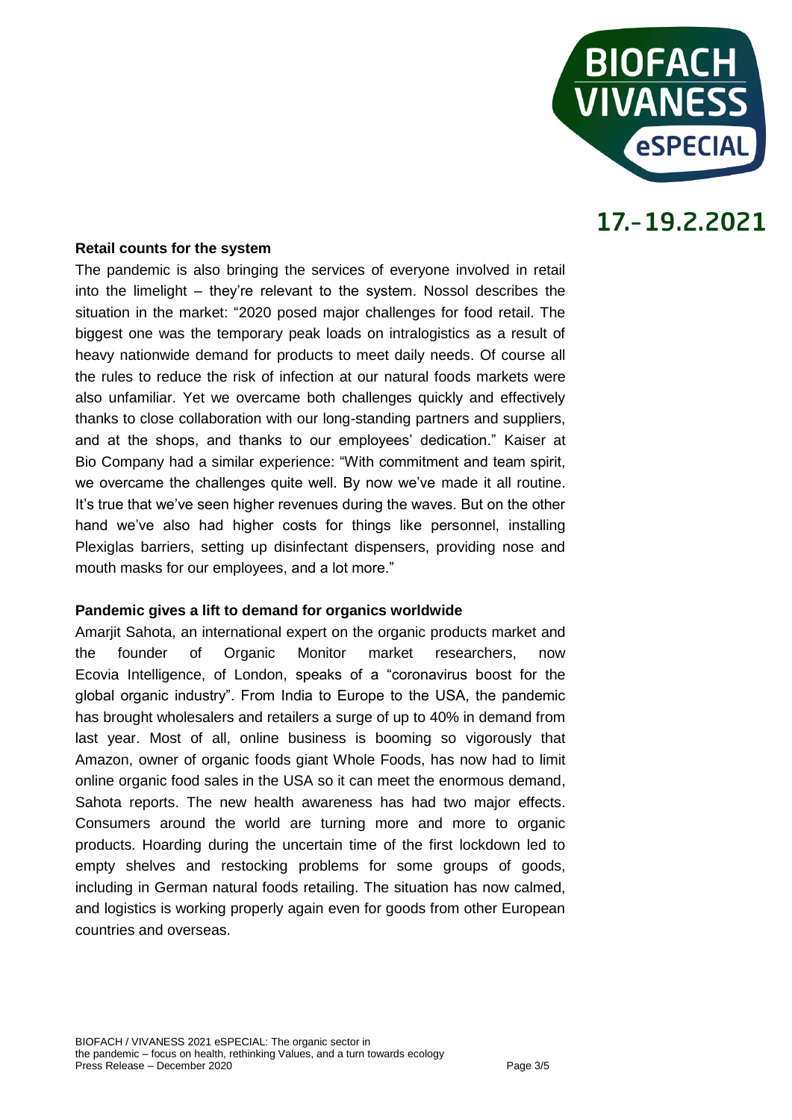

#### **Retail counts for the system**

The pandemic is also bringing the services of everyone involved in retail into the limelight – they're relevant to the system. Nossol describes the situation in the market: "2020 posed major challenges for food retail. The biggest one was the temporary peak loads on intralogistics as a result of heavy nationwide demand for products to meet daily needs. Of course all the rules to reduce the risk of infection at our natural foods markets were also unfamiliar. Yet we overcame both challenges quickly and effectively thanks to close collaboration with our long-standing partners and suppliers, and at the shops, and thanks to our employees' dedication." Kaiser at Bio Company had a similar experience: "With commitment and team spirit, we overcame the challenges quite well. By now we've made it all routine. It's true that we've seen higher revenues during the waves. But on the other hand we've also had higher costs for things like personnel, installing Plexiglas barriers, setting up disinfectant dispensers, providing nose and mouth masks for our employees, and a lot more."

#### **Pandemic gives a lift to demand for organics worldwide**

Amarjit Sahota, an international expert on the organic products market and the founder of Organic Monitor market researchers, now Ecovia Intelligence, of London, speaks of a "coronavirus boost for the global organic industry". From India to Europe to the USA, the pandemic has brought wholesalers and retailers a surge of up to 40% in demand from last year. Most of all, online business is booming so vigorously that Amazon, owner of organic foods giant Whole Foods, has now had to limit online organic food sales in the USA so it can meet the enormous demand, Sahota reports. The new health awareness has had two major effects. Consumers around the world are turning more and more to organic products. Hoarding during the uncertain time of the first lockdown led to empty shelves and restocking problems for some groups of goods, including in German natural foods retailing. The situation has now calmed, and logistics is working properly again even for goods from other European countries and overseas.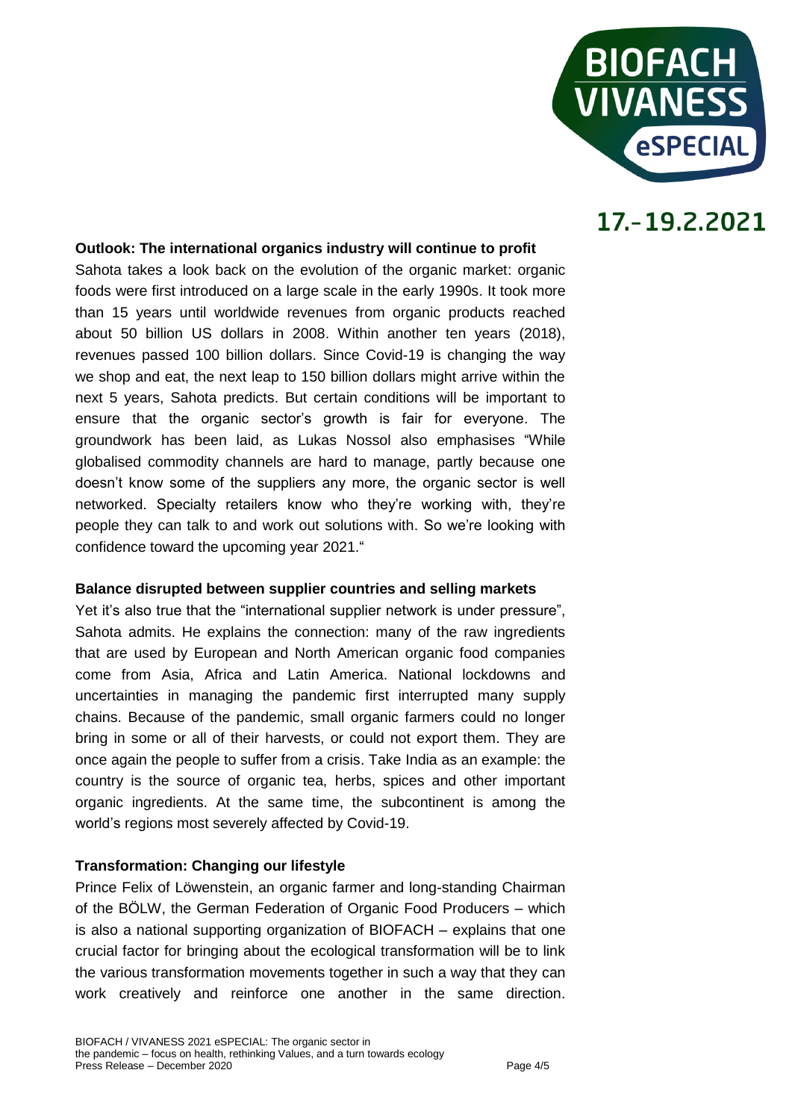

#### **Outlook: The international organics industry will continue to profit**

Sahota takes a look back on the evolution of the organic market: organic foods were first introduced on a large scale in the early 1990s. It took more than 15 years until worldwide revenues from organic products reached about 50 billion US dollars in 2008. Within another ten years (2018), revenues passed 100 billion dollars. Since Covid-19 is changing the way we shop and eat, the next leap to 150 billion dollars might arrive within the next 5 years, Sahota predicts. But certain conditions will be important to ensure that the organic sector's growth is fair for everyone. The groundwork has been laid, as Lukas Nossol also emphasises "While globalised commodity channels are hard to manage, partly because one doesn't know some of the suppliers any more, the organic sector is well networked. Specialty retailers know who they're working with, they're people they can talk to and work out solutions with. So we're looking with confidence toward the upcoming year 2021."

#### **Balance disrupted between supplier countries and selling markets**

Yet it's also true that the "international supplier network is under pressure", Sahota admits. He explains the connection: many of the raw ingredients that are used by European and North American organic food companies come from Asia, Africa and Latin America. National lockdowns and uncertainties in managing the pandemic first interrupted many supply chains. Because of the pandemic, small organic farmers could no longer bring in some or all of their harvests, or could not export them. They are once again the people to suffer from a crisis. Take India as an example: the country is the source of organic tea, herbs, spices and other important organic ingredients. At the same time, the subcontinent is among the world's regions most severely affected by Covid-19.

#### **Transformation: Changing our lifestyle**

Prince Felix of Löwenstein, an organic farmer and long-standing Chairman of the BÖLW, the German Federation of Organic Food Producers – which is also a national supporting organization of BIOFACH – explains that one crucial factor for bringing about the ecological transformation will be to link the various transformation movements together in such a way that they can work creatively and reinforce one another in the same direction.